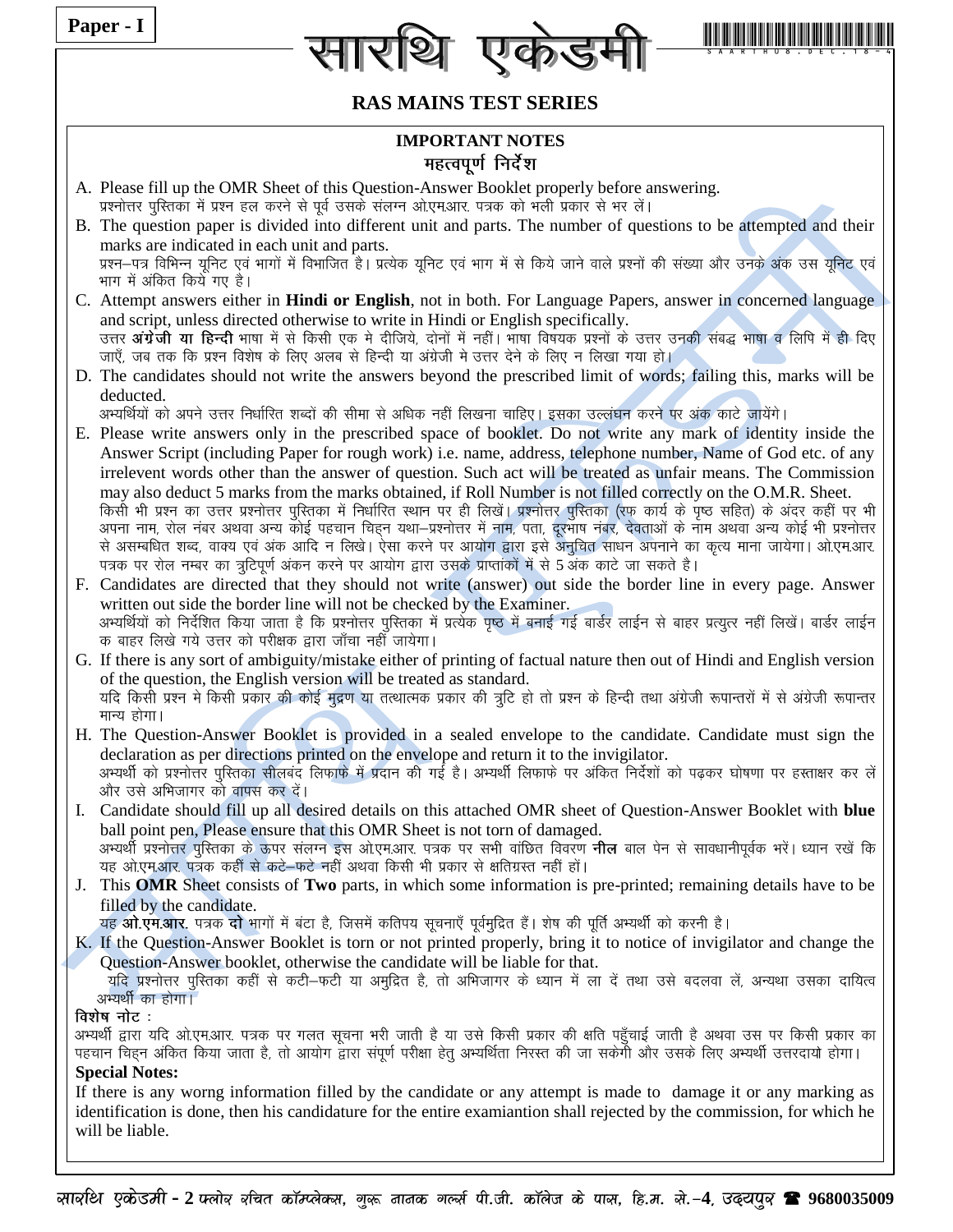| Paper - I                                |                                                                                                                                                                                                                                                                                                                                                                                                                                                                                                                                                                                                                                                                                                                                                                                                                                                                                                                                                                                                                                                                                                                         |  |  |  |  |  |  |  |  |
|------------------------------------------|-------------------------------------------------------------------------------------------------------------------------------------------------------------------------------------------------------------------------------------------------------------------------------------------------------------------------------------------------------------------------------------------------------------------------------------------------------------------------------------------------------------------------------------------------------------------------------------------------------------------------------------------------------------------------------------------------------------------------------------------------------------------------------------------------------------------------------------------------------------------------------------------------------------------------------------------------------------------------------------------------------------------------------------------------------------------------------------------------------------------------|--|--|--|--|--|--|--|--|
|                                          |                                                                                                                                                                                                                                                                                                                                                                                                                                                                                                                                                                                                                                                                                                                                                                                                                                                                                                                                                                                                                                                                                                                         |  |  |  |  |  |  |  |  |
|                                          | <b>RAS MAINS TEST SERIES</b>                                                                                                                                                                                                                                                                                                                                                                                                                                                                                                                                                                                                                                                                                                                                                                                                                                                                                                                                                                                                                                                                                            |  |  |  |  |  |  |  |  |
| <b>IMPORTANT NOTES</b>                   |                                                                                                                                                                                                                                                                                                                                                                                                                                                                                                                                                                                                                                                                                                                                                                                                                                                                                                                                                                                                                                                                                                                         |  |  |  |  |  |  |  |  |
|                                          | महत्वपूर्ण निर्देश                                                                                                                                                                                                                                                                                                                                                                                                                                                                                                                                                                                                                                                                                                                                                                                                                                                                                                                                                                                                                                                                                                      |  |  |  |  |  |  |  |  |
|                                          | A. Please fill up the OMR Sheet of this Question-Answer Booklet properly before answering.<br>प्रश्नोत्तर पुस्तिका में प्रश्न हल करने से पूर्व उसके संलग्न ओ.एम.आर. पत्रक को भली प्रकार से भर लें।                                                                                                                                                                                                                                                                                                                                                                                                                                                                                                                                                                                                                                                                                                                                                                                                                                                                                                                      |  |  |  |  |  |  |  |  |
|                                          | B. The question paper is divided into different unit and parts. The number of questions to be attempted and their<br>marks are indicated in each unit and parts.                                                                                                                                                                                                                                                                                                                                                                                                                                                                                                                                                                                                                                                                                                                                                                                                                                                                                                                                                        |  |  |  |  |  |  |  |  |
|                                          | प्रश्न–पत्र विभिन्न यूनिट एवं भागों में विभाजित है। प्रत्येक यूनिट एवं भाग में से किये जाने वाले प्रश्नों की संख्या और उनके अंक उस यूनिट एवं<br>भाग में अंकित किये गए है।                                                                                                                                                                                                                                                                                                                                                                                                                                                                                                                                                                                                                                                                                                                                                                                                                                                                                                                                               |  |  |  |  |  |  |  |  |
|                                          | C. Attempt answers either in Hindi or English, not in both. For Language Papers, answer in concerned language                                                                                                                                                                                                                                                                                                                                                                                                                                                                                                                                                                                                                                                                                                                                                                                                                                                                                                                                                                                                           |  |  |  |  |  |  |  |  |
|                                          | and script, unless directed otherwise to write in Hindi or English specifically.<br>उत्तर <b>अंग्रेजी या हिन्दी</b> भाषा में से किसी एक मे दीजिये, दोनों में नहीं। भाषा विषयक प्रश्नों के उत्तर उनकी संबद्ध भाषा व लिपि में ही दिए<br>जाएँ, जब तक कि प्रश्न विशेष के लिए अलब से हिन्दी या अंग्रेजी मे उत्तर देने के लिए न लिखा गया हो।                                                                                                                                                                                                                                                                                                                                                                                                                                                                                                                                                                                                                                                                                                                                                                                  |  |  |  |  |  |  |  |  |
| deducted.                                | D. The candidates should not write the answers beyond the prescribed limit of words; failing this, marks will be                                                                                                                                                                                                                                                                                                                                                                                                                                                                                                                                                                                                                                                                                                                                                                                                                                                                                                                                                                                                        |  |  |  |  |  |  |  |  |
|                                          | अभ्यर्थियों को अपने उत्तर निर्धारित शब्दों की सीमा से अधिक नहीं लिखना चाहिए। इसका उल्लंघन करने पर अंक काटे जायेंगे।<br>E. Please write answers only in the prescribed space of booklet. Do not write any mark of identity inside the<br>Answer Script (including Paper for rough work) i.e. name, address, telephone number, Name of God etc. of any<br>irrelevent words other than the answer of question. Such act will be treated as unfair means. The Commission<br>may also deduct 5 marks from the marks obtained, if Roll Number is not filled correctly on the O.M.R. Sheet.<br>किसी भी प्रश्न का उत्तर प्रश्नोत्तर पुस्तिका में निर्धारित स्थान पर ही लिखें। प्रश्नोत्तर पुस्तिका (रफ कार्य के पृष्ठ सहित) के अंदर कहीं पर भी<br>अपना नाम, रोल नंबर अथवा अन्य कोई पहचान चिहन यथा–प्रश्नोत्तर में नाम, पता, दूरभाष नंबर, देवताओं के नाम अथवा अन्य कोई भी प्रश्नोत्तर<br>से असम्बधित शब्द, वाक्य एवं अंक आदि न लिखे। ऐसा करने पर आयोग द्वारा इसे अनुचित साधन अपनाने का कृत्य माना जायेगा। ओ.एम.आर.<br>पत्रक पर रोल नम्बर का त्रुटिपूर्ण अंकन करने पर आयोग द्वारा उसके प्राप्तांकों में से 5 अंक काटे जा सकते है। |  |  |  |  |  |  |  |  |
|                                          | F. Candidates are directed that they should not write (answer) out side the border line in every page. Answer<br>written out side the border line will not be checked by the Examiner.<br>अभ्यर्थियों को निर्देशित किया जाता है कि प्रश्नोत्तर पुरितका में प्रत्येक पृष्ठ में बनाई गई बार्डर लाईन से बाहर प्रत्युत्र नहीं लिखें। बार्डर लाईन<br>क बाहर लिखे गये उत्तर को परीक्षक द्वारा जाँचा नहीँ जायेगा।                                                                                                                                                                                                                                                                                                                                                                                                                                                                                                                                                                                                                                                                                                              |  |  |  |  |  |  |  |  |
| मान्य होगा।                              | G. If there is any sort of ambiguity/mistake either of printing of factual nature then out of Hindi and English version<br>of the question, the English version will be treated as standard.<br>यदि किसी प्रश्न मे किसी प्रकार की कोई मुद्रण या तत्थात्मक प्रकार की त्रुटि हो तो प्रश्न के हिन्दी तथा अंग्रेजी रूपान्तरों में से अंग्रेजी रूपान्तर                                                                                                                                                                                                                                                                                                                                                                                                                                                                                                                                                                                                                                                                                                                                                                      |  |  |  |  |  |  |  |  |
|                                          | H. The Question-Answer Booklet is provided in a sealed envelope to the candidate. Candidate must sign the<br>declaration as per directions printed on the envelope and return it to the invigilator.<br>अभ्यर्थी को प्रश्नोत्तर पुस्तिका सीलबंद लिफाफे में प्रदान की गई है। अभ्यर्थी लिफाफे पर अंकित निर्देशों को पढ़कर घोषणा पर हस्ताक्षर कर लें<br>और उसे अभिजागर को वापस कर दें।                                                                                                                                                                                                                                                                                                                                                                                                                                                                                                                                                                                                                                                                                                                                     |  |  |  |  |  |  |  |  |
| I.                                       | Candidate should fill up all desired details on this attached OMR sheet of Question-Answer Booklet with blue<br>ball point pen, Please ensure that this OMR Sheet is not torn of damaged.<br>अभ्यर्थी प्रश्नोत्तर पुरितका के ऊपर संलग्न इस ओ.एम.आर. पत्रक पर सभी वांछित विवरण <b>नील</b> बाल पेन से सावधानीपूर्वक भरें। ध्यान रखें कि<br>यह ओ.एम.आर. पत्रक कहीं से कटे-फटे नहीं अथवा किसी भी प्रकार से क्षतिग्रस्त नहीं हों।                                                                                                                                                                                                                                                                                                                                                                                                                                                                                                                                                                                                                                                                                            |  |  |  |  |  |  |  |  |
| J.                                       | This OMR Sheet consists of Two parts, in which some information is pre-printed; remaining details have to be<br>filled by the candidate.                                                                                                                                                                                                                                                                                                                                                                                                                                                                                                                                                                                                                                                                                                                                                                                                                                                                                                                                                                                |  |  |  |  |  |  |  |  |
|                                          | यह ओ.एम.आर. पत्रक दो भागों में बंटा है, जिसमें कतिपय सूचनाएँ पूर्वमुद्रित हैं। शेष की पूर्ति अभ्यर्थी को करनी है।<br>K. If the Question-Answer Booklet is torn or not printed properly, bring it to notice of invigilator and change the<br>Question-Answer booklet, otherwise the candidate will be liable for that.                                                                                                                                                                                                                                                                                                                                                                                                                                                                                                                                                                                                                                                                                                                                                                                                   |  |  |  |  |  |  |  |  |
| अभ्यर्थी का होगा।                        | यदि प्रश्नोत्तर पुस्तिका कहीं से कटी—फटी या अमुद्रित है, तो अभिजागर के ध्यान में ला दें तथा उसे बदलवा लें, अन्यथा उसका दायित्व                                                                                                                                                                                                                                                                                                                                                                                                                                                                                                                                                                                                                                                                                                                                                                                                                                                                                                                                                                                          |  |  |  |  |  |  |  |  |
| विशेष नोट:                               | अभ्यर्थी द्वारा यदि ओ.एम.आर. पत्रक पर गलत सूचना भरी जाती है या उसे किसी प्रकार की क्षति पहुँचाई जाती है अथवा उस पर किसी प्रकार का<br>पहचान चिहन अंकित किया जाता है, तो आयोग द्वारा संपूर्ण परीक्षा हेतु अभ्यर्थिता निरस्त की जा सकेगी और उसके लिए अभ्यर्थी उत्तरदायो होगा।                                                                                                                                                                                                                                                                                                                                                                                                                                                                                                                                                                                                                                                                                                                                                                                                                                              |  |  |  |  |  |  |  |  |
| <b>Special Notes:</b><br>will be liable. | If there is any worng information filled by the candidate or any attempt is made to damage it or any marking as<br>identification is done, then his candidature for the entire examiantion shall rejected by the commission, for which he                                                                                                                                                                                                                                                                                                                                                                                                                                                                                                                                                                                                                                                                                                                                                                                                                                                                               |  |  |  |  |  |  |  |  |
|                                          |                                                                                                                                                                                                                                                                                                                                                                                                                                                                                                                                                                                                                                                                                                                                                                                                                                                                                                                                                                                                                                                                                                                         |  |  |  |  |  |  |  |  |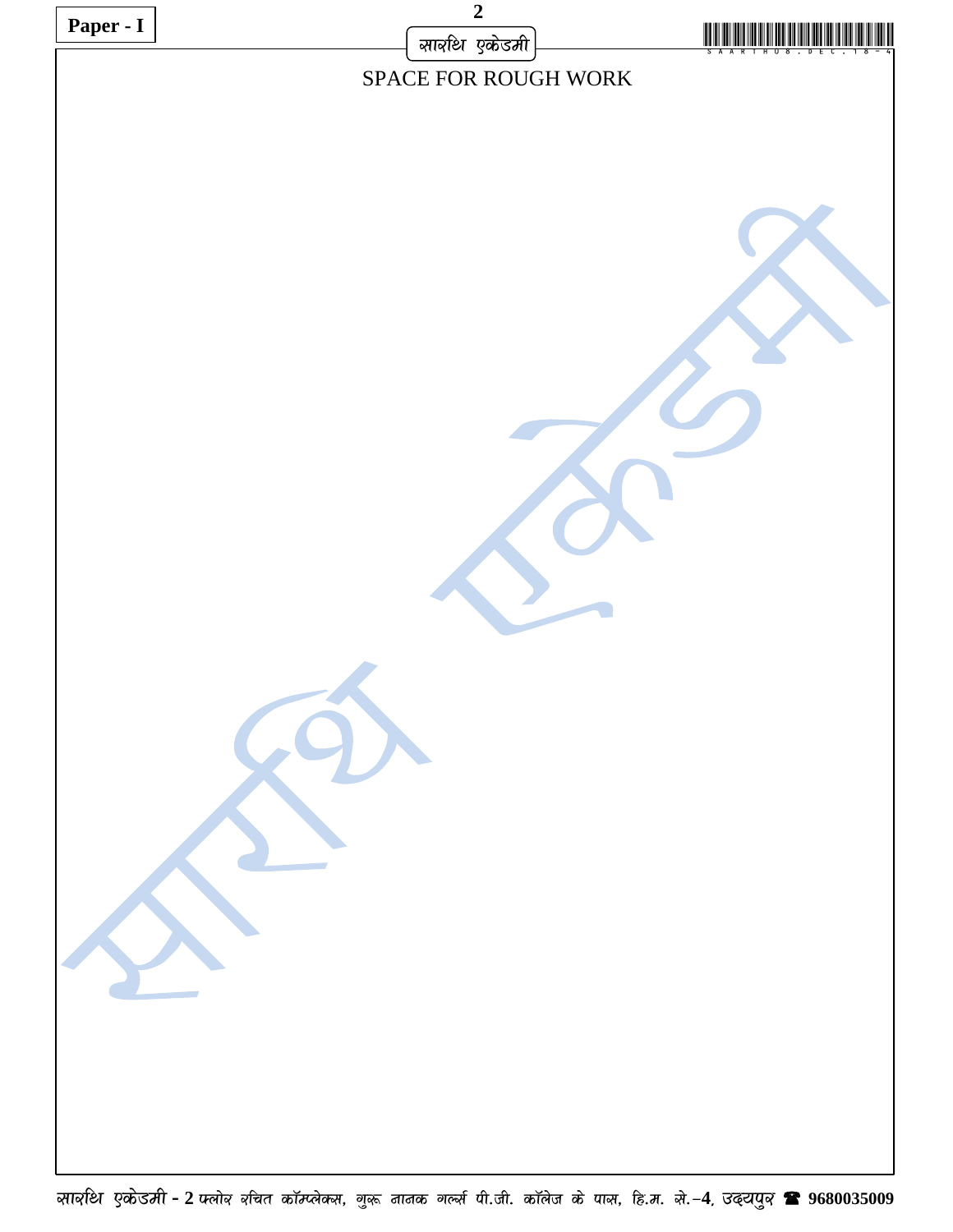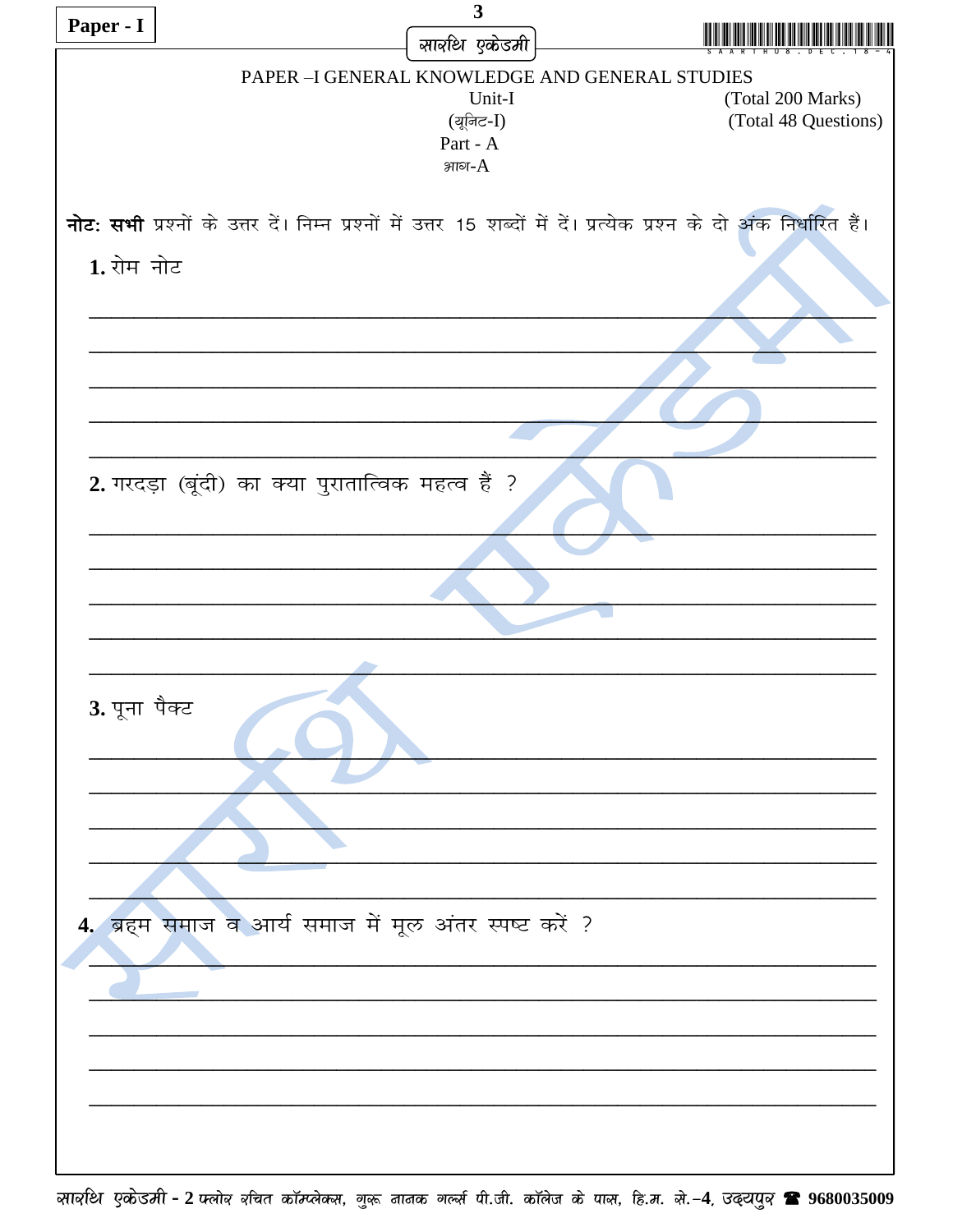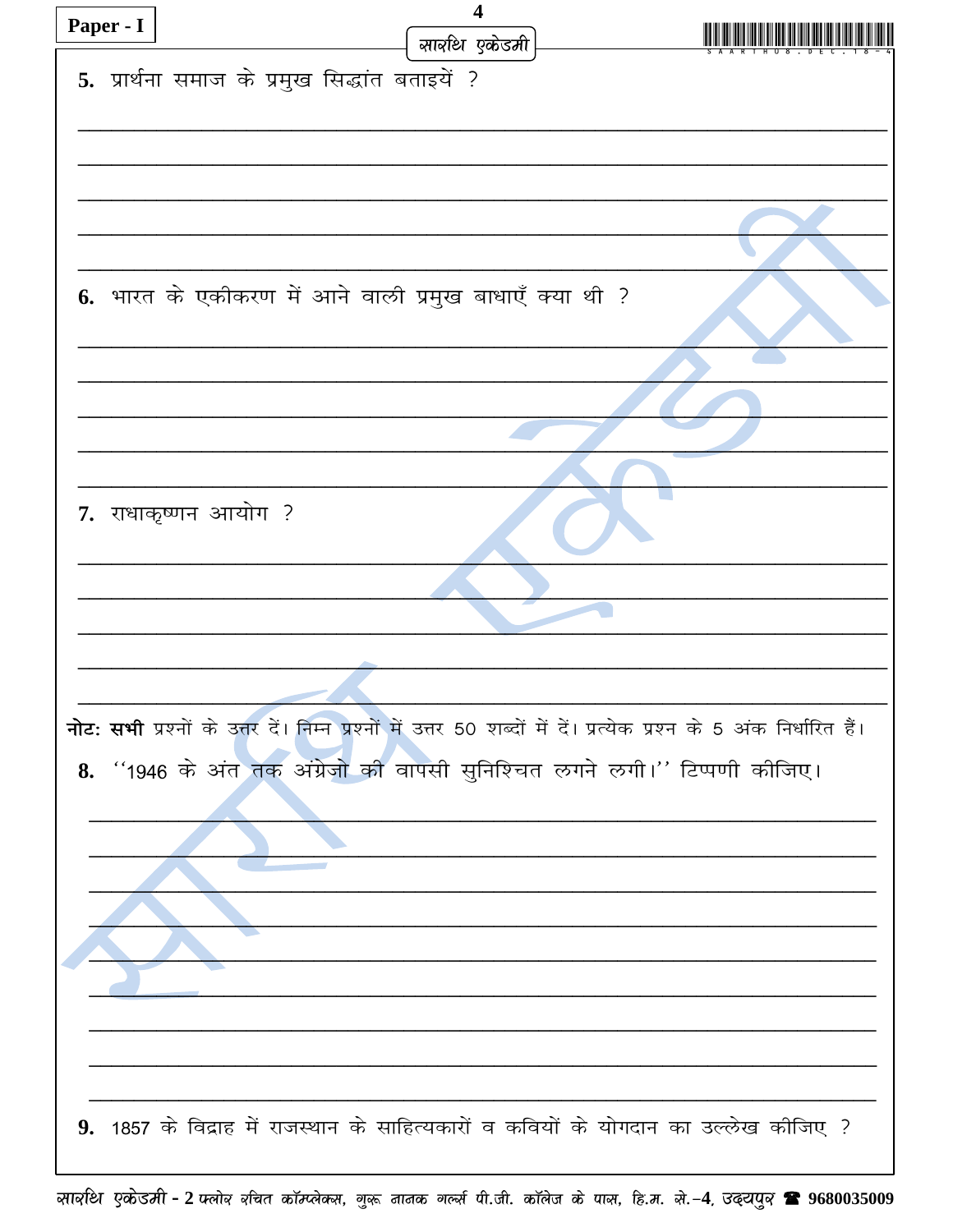| Paper - I | $\overline{\mathbf{4}}$                                                                                             |  |
|-----------|---------------------------------------------------------------------------------------------------------------------|--|
|           | सार्वाथ एकेडमी                                                                                                      |  |
|           | 5. प्रार्थना समाज के प्रमुख सिद्धांत बताइयें ?                                                                      |  |
|           |                                                                                                                     |  |
|           |                                                                                                                     |  |
|           |                                                                                                                     |  |
|           |                                                                                                                     |  |
|           |                                                                                                                     |  |
|           |                                                                                                                     |  |
|           |                                                                                                                     |  |
|           |                                                                                                                     |  |
|           | 6. भारत के एकीकरण में आने वाली प्रमुख बाधाएँ क्या थी ?                                                              |  |
|           |                                                                                                                     |  |
|           |                                                                                                                     |  |
|           |                                                                                                                     |  |
|           |                                                                                                                     |  |
|           |                                                                                                                     |  |
|           |                                                                                                                     |  |
|           |                                                                                                                     |  |
|           | 7. राधाकृष्णन आयोग ?                                                                                                |  |
|           |                                                                                                                     |  |
|           |                                                                                                                     |  |
|           |                                                                                                                     |  |
|           |                                                                                                                     |  |
|           |                                                                                                                     |  |
|           |                                                                                                                     |  |
|           |                                                                                                                     |  |
|           |                                                                                                                     |  |
|           | नोट: सभी प्रश्नों के उत्तर दें। निम्न प्रश्नों में उत्तर 50 शब्दों में दें। प्रत्येक प्रश्न के 5 अंक निर्धारित हैं। |  |
|           |                                                                                                                     |  |
|           | 8. "1946 के अंत तक अंग्रेजो की वापसी सुनिश्चित लगने लगी।'' टिप्पणी कीजिए।                                           |  |
|           |                                                                                                                     |  |
|           |                                                                                                                     |  |
|           |                                                                                                                     |  |
|           |                                                                                                                     |  |
|           |                                                                                                                     |  |
|           |                                                                                                                     |  |
|           |                                                                                                                     |  |
|           |                                                                                                                     |  |
|           |                                                                                                                     |  |
|           |                                                                                                                     |  |
|           |                                                                                                                     |  |
|           |                                                                                                                     |  |
|           |                                                                                                                     |  |
|           | 9. 1857 के विद्राह में राजस्थान के साहित्यकारों व कवियों के योगदान का उल्लेख कीजिए ?                                |  |
|           |                                                                                                                     |  |
|           |                                                                                                                     |  |

सावशि एकोडमी - 2 फ्लोव वर्चित कॉम्प्लेक्स, गुरू नानक गर्ल्स पी.जी. कॉलेज के पास, हि.म. से.-4, उढ्ट्यपुव <sup>•</sup> 9680035009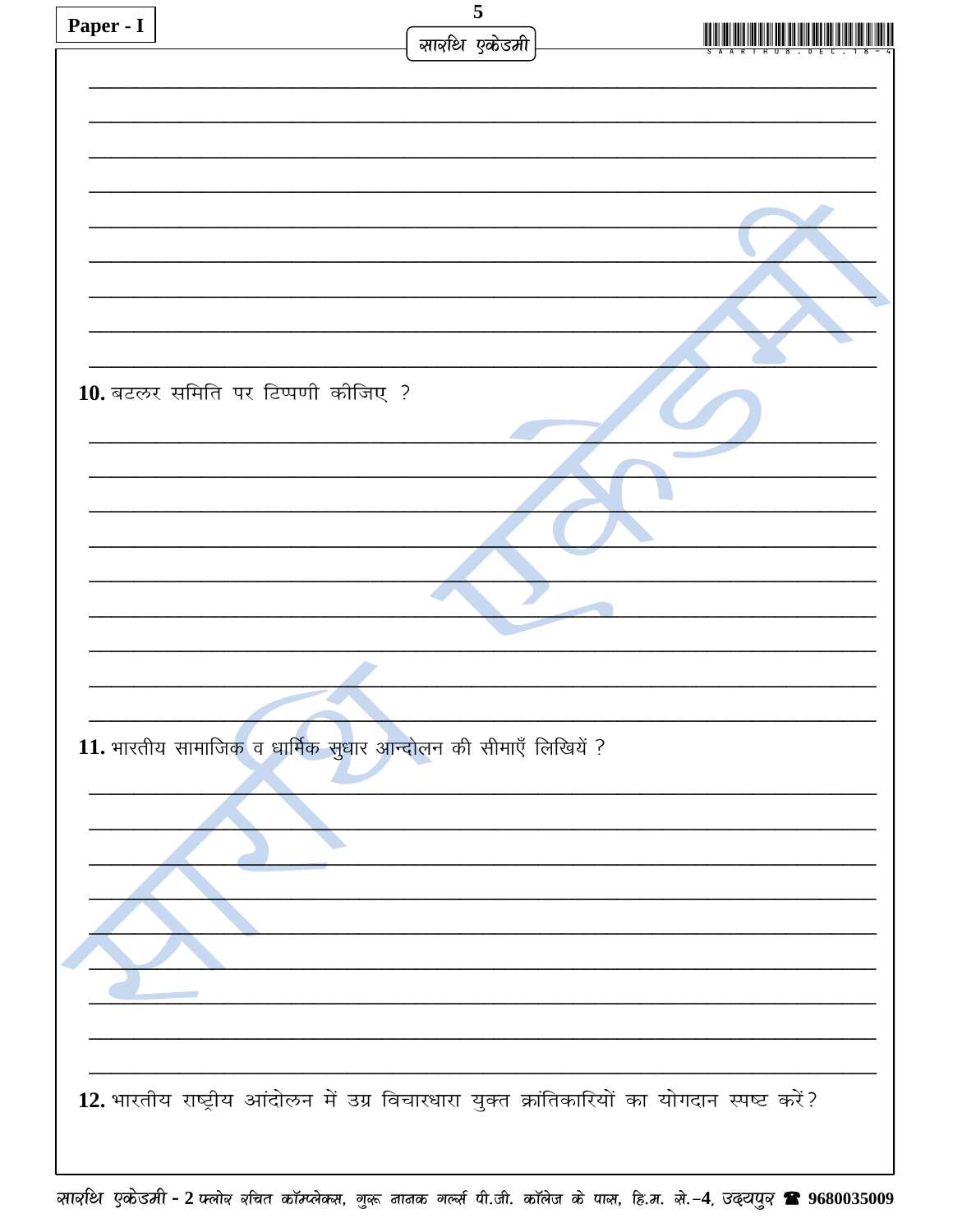| Paper - I | 5                                                                                          |  |
|-----------|--------------------------------------------------------------------------------------------|--|
|           | सावधि एकेडमी                                                                               |  |
|           |                                                                                            |  |
|           |                                                                                            |  |
|           |                                                                                            |  |
|           |                                                                                            |  |
|           |                                                                                            |  |
|           |                                                                                            |  |
|           |                                                                                            |  |
|           |                                                                                            |  |
|           | 10. बटलर समिति पर टिप्पणी कीजिए ?                                                          |  |
|           |                                                                                            |  |
|           |                                                                                            |  |
|           |                                                                                            |  |
|           |                                                                                            |  |
|           |                                                                                            |  |
|           |                                                                                            |  |
|           |                                                                                            |  |
|           |                                                                                            |  |
|           |                                                                                            |  |
|           | 11. भारतीय सामाजिक व धार्मिक सुधार आन्दोलन की सीमाएँ लिखियें ?                             |  |
|           |                                                                                            |  |
|           |                                                                                            |  |
|           |                                                                                            |  |
|           |                                                                                            |  |
|           |                                                                                            |  |
|           |                                                                                            |  |
|           |                                                                                            |  |
|           |                                                                                            |  |
|           |                                                                                            |  |
|           | 12. भारतीय राष्ट्रीय आंदोलन में उग्र विचारधारा युक्त क्रांतिकारियों का योगदान स्पष्ट करें? |  |
|           |                                                                                            |  |
|           |                                                                                            |  |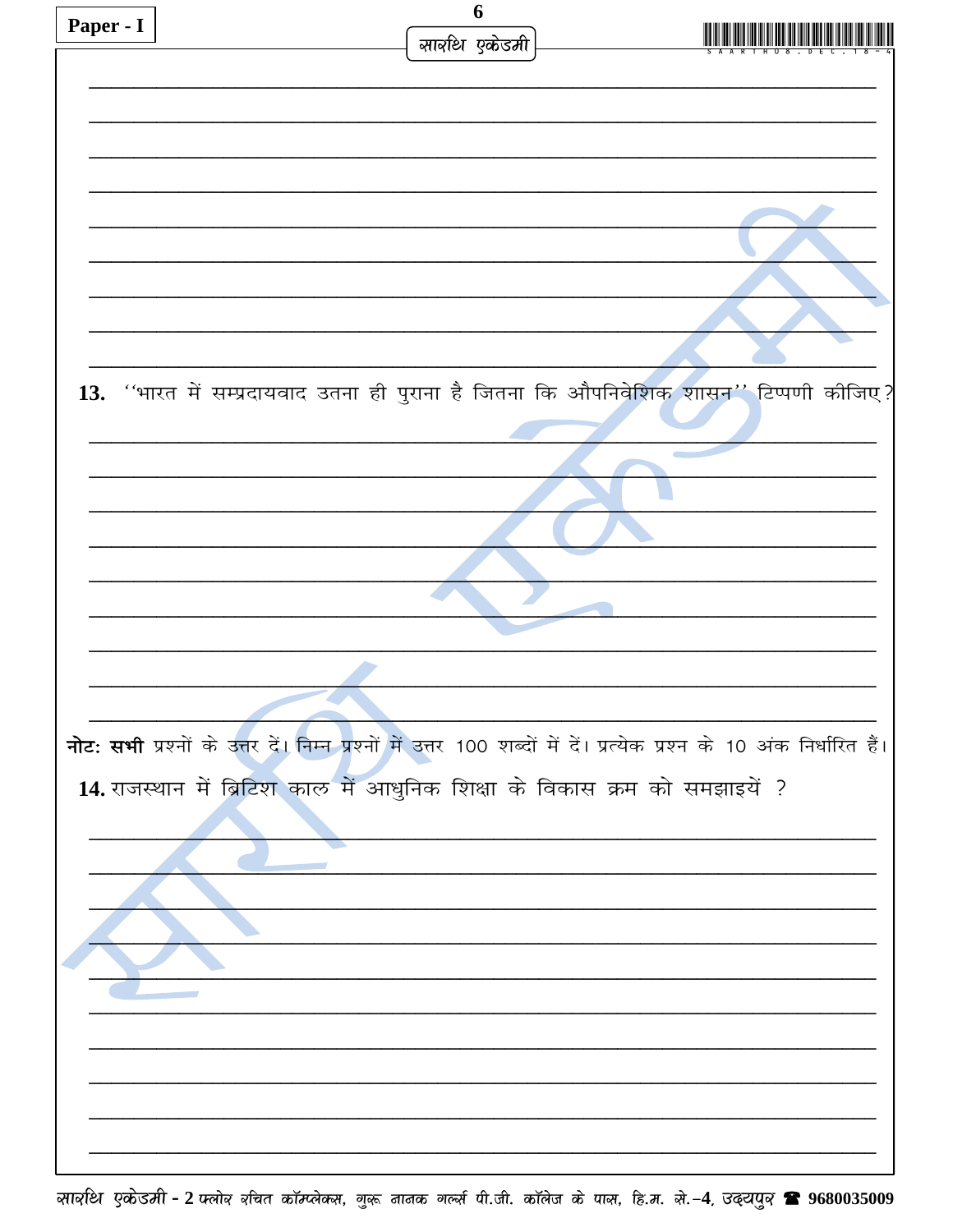| Paper - I |                                                                            | 6            |                                                                                                                       |
|-----------|----------------------------------------------------------------------------|--------------|-----------------------------------------------------------------------------------------------------------------------|
|           |                                                                            | सावधि एकेडमी |                                                                                                                       |
|           |                                                                            |              |                                                                                                                       |
|           |                                                                            |              |                                                                                                                       |
|           |                                                                            |              |                                                                                                                       |
|           |                                                                            |              |                                                                                                                       |
|           |                                                                            |              |                                                                                                                       |
|           |                                                                            |              |                                                                                                                       |
|           |                                                                            |              |                                                                                                                       |
|           |                                                                            |              |                                                                                                                       |
|           |                                                                            |              |                                                                                                                       |
|           |                                                                            |              |                                                                                                                       |
|           |                                                                            |              |                                                                                                                       |
|           |                                                                            |              |                                                                                                                       |
|           |                                                                            |              |                                                                                                                       |
|           |                                                                            |              | 13. "भारत में सम्प्रदायवाद उतना ही पुराना है जितना कि औपनिवेशिक शासन" टिप्पणी कीजिए?                                  |
|           |                                                                            |              |                                                                                                                       |
|           |                                                                            |              |                                                                                                                       |
|           |                                                                            |              |                                                                                                                       |
|           |                                                                            |              |                                                                                                                       |
|           |                                                                            |              |                                                                                                                       |
|           |                                                                            |              |                                                                                                                       |
|           |                                                                            |              |                                                                                                                       |
|           |                                                                            |              |                                                                                                                       |
|           |                                                                            |              |                                                                                                                       |
|           |                                                                            |              |                                                                                                                       |
|           |                                                                            |              |                                                                                                                       |
|           |                                                                            |              |                                                                                                                       |
|           |                                                                            |              |                                                                                                                       |
|           |                                                                            |              | नोट: सभी प्रश्नों के उत्तर दें। निम्न प्रश्नों में उत्तर 100 शब्दों में दें। प्रत्येक प्रश्न के 10 अंक निर्धारित हैं। |
|           |                                                                            |              |                                                                                                                       |
|           | 14. राजस्थान में ब्रिटिश काल में आधुनिक शिक्षा के विकास क्रम को समझाइयें ? |              |                                                                                                                       |
|           |                                                                            |              |                                                                                                                       |
|           |                                                                            |              |                                                                                                                       |
|           |                                                                            |              |                                                                                                                       |
|           |                                                                            |              |                                                                                                                       |
|           |                                                                            |              |                                                                                                                       |
|           |                                                                            |              |                                                                                                                       |
|           |                                                                            |              |                                                                                                                       |
|           |                                                                            |              |                                                                                                                       |
|           |                                                                            |              |                                                                                                                       |
|           |                                                                            |              |                                                                                                                       |
|           |                                                                            |              |                                                                                                                       |
|           |                                                                            |              |                                                                                                                       |
|           |                                                                            |              |                                                                                                                       |
|           |                                                                            |              |                                                                                                                       |
|           |                                                                            |              |                                                                                                                       |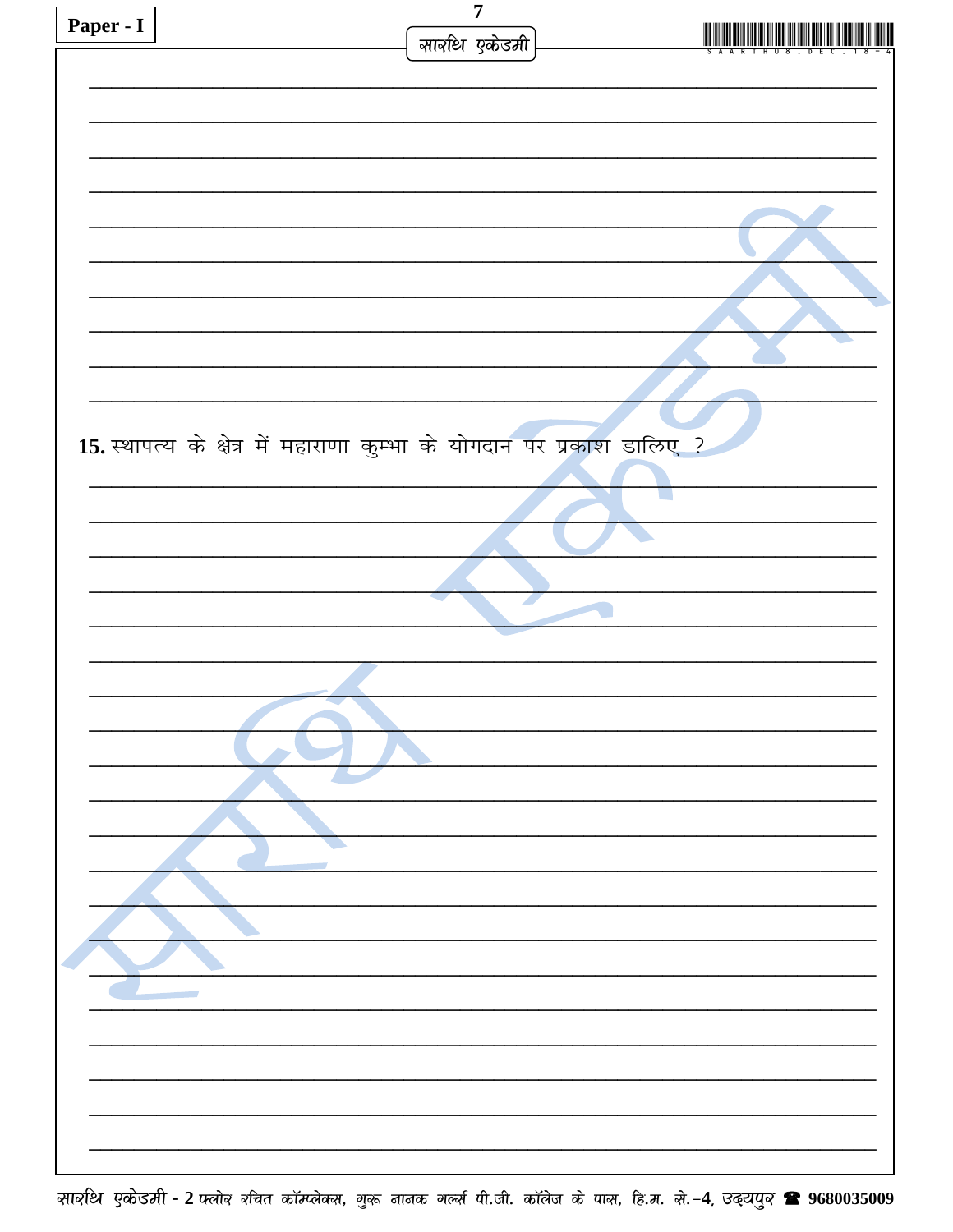| Paper - I | $\overline{7}$<br>सावधि एकेडमी                                         |  |
|-----------|------------------------------------------------------------------------|--|
|           |                                                                        |  |
|           |                                                                        |  |
|           |                                                                        |  |
|           |                                                                        |  |
|           |                                                                        |  |
|           |                                                                        |  |
|           |                                                                        |  |
|           | 15. स्थापत्य के क्षेत्र में महाराणा कुम्भा के योगदान पर प्रकाश डालिए ? |  |
|           |                                                                        |  |
|           |                                                                        |  |
|           |                                                                        |  |
|           |                                                                        |  |
|           |                                                                        |  |
|           |                                                                        |  |
|           |                                                                        |  |
|           |                                                                        |  |
|           |                                                                        |  |
|           |                                                                        |  |
|           |                                                                        |  |
|           |                                                                        |  |
|           |                                                                        |  |
|           |                                                                        |  |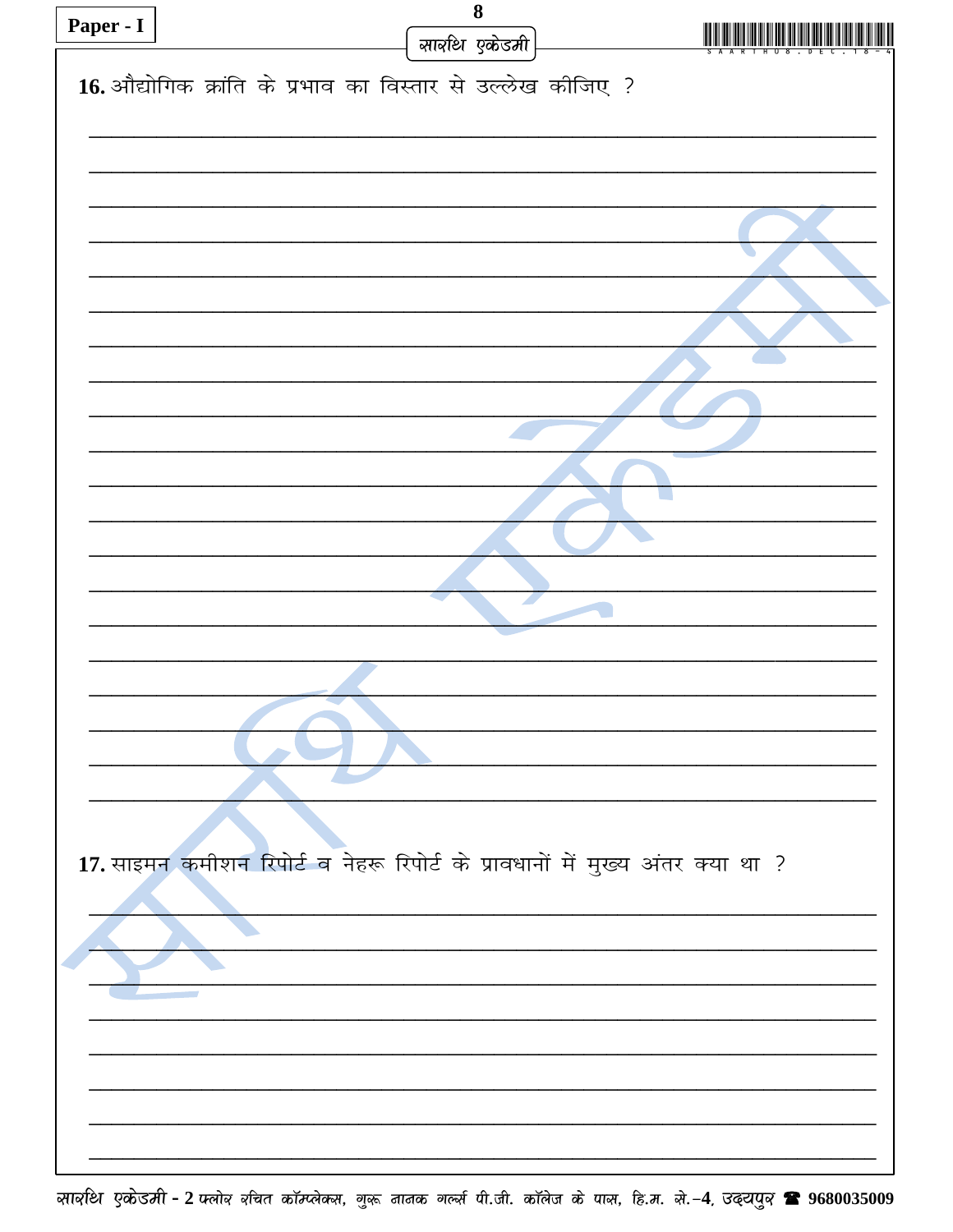| Paper - I | $\bf 8$                                                                        |  |
|-----------|--------------------------------------------------------------------------------|--|
|           | सावधि एकेडमी                                                                   |  |
|           |                                                                                |  |
|           | 16. औद्योगिक क्रांति के प्रभाव का विस्तार से उल्लेख कीजिए ?                    |  |
|           |                                                                                |  |
|           |                                                                                |  |
|           |                                                                                |  |
|           |                                                                                |  |
|           |                                                                                |  |
|           |                                                                                |  |
|           |                                                                                |  |
|           |                                                                                |  |
|           |                                                                                |  |
|           |                                                                                |  |
|           |                                                                                |  |
|           |                                                                                |  |
|           |                                                                                |  |
|           |                                                                                |  |
|           |                                                                                |  |
|           |                                                                                |  |
|           |                                                                                |  |
|           |                                                                                |  |
|           |                                                                                |  |
|           |                                                                                |  |
|           |                                                                                |  |
|           |                                                                                |  |
|           |                                                                                |  |
|           |                                                                                |  |
|           |                                                                                |  |
|           |                                                                                |  |
|           | 17. साइमन कमीशन रिपोर्ट व नेहरू रिपोर्ट के प्रावधानों में मुख्य अंतर क्या था ? |  |
|           |                                                                                |  |
|           |                                                                                |  |
|           |                                                                                |  |
|           |                                                                                |  |
|           |                                                                                |  |
|           |                                                                                |  |
|           |                                                                                |  |
|           |                                                                                |  |
|           |                                                                                |  |
|           |                                                                                |  |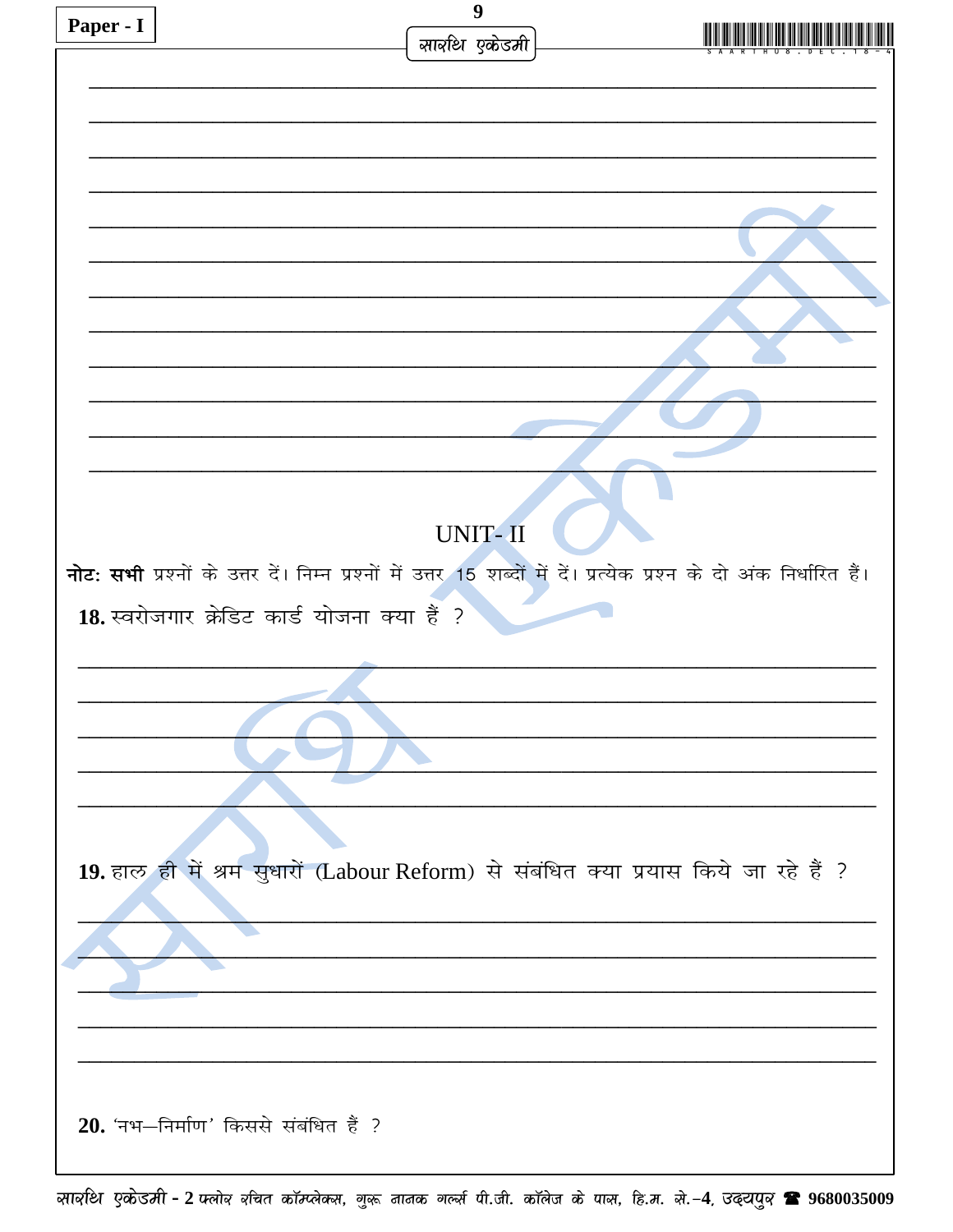| Paper - I | 9                                                                                                                    |  |
|-----------|----------------------------------------------------------------------------------------------------------------------|--|
|           | सारुधि एकेडमी                                                                                                        |  |
|           |                                                                                                                      |  |
|           |                                                                                                                      |  |
|           |                                                                                                                      |  |
|           |                                                                                                                      |  |
|           |                                                                                                                      |  |
|           |                                                                                                                      |  |
|           |                                                                                                                      |  |
|           |                                                                                                                      |  |
|           |                                                                                                                      |  |
|           |                                                                                                                      |  |
|           |                                                                                                                      |  |
|           |                                                                                                                      |  |
|           |                                                                                                                      |  |
|           | UNIT-II                                                                                                              |  |
|           | नोट: सभी प्रश्नों के उत्तर दें। निम्न प्रश्नों में उत्तर 15 शब्दों में दें। प्रत्येक प्रश्न के दो अंक निर्धारित हैं। |  |
|           | 18. स्वरोजगार क्रेडिट कार्ड योजना क्या हैं ?                                                                         |  |
|           |                                                                                                                      |  |
|           |                                                                                                                      |  |
|           |                                                                                                                      |  |
|           |                                                                                                                      |  |
|           |                                                                                                                      |  |
|           |                                                                                                                      |  |
|           |                                                                                                                      |  |
|           | 19. हाल ही में श्रम सुधारों (Labour Reform) से संबंधित क्या प्रयास किये जा रहे हैं ?                                 |  |
|           |                                                                                                                      |  |
|           |                                                                                                                      |  |
|           |                                                                                                                      |  |
|           |                                                                                                                      |  |
|           |                                                                                                                      |  |
|           |                                                                                                                      |  |
|           | 20. 'नभ-निर्माण' किससे संबंधित हैं ?                                                                                 |  |
|           |                                                                                                                      |  |
|           |                                                                                                                      |  |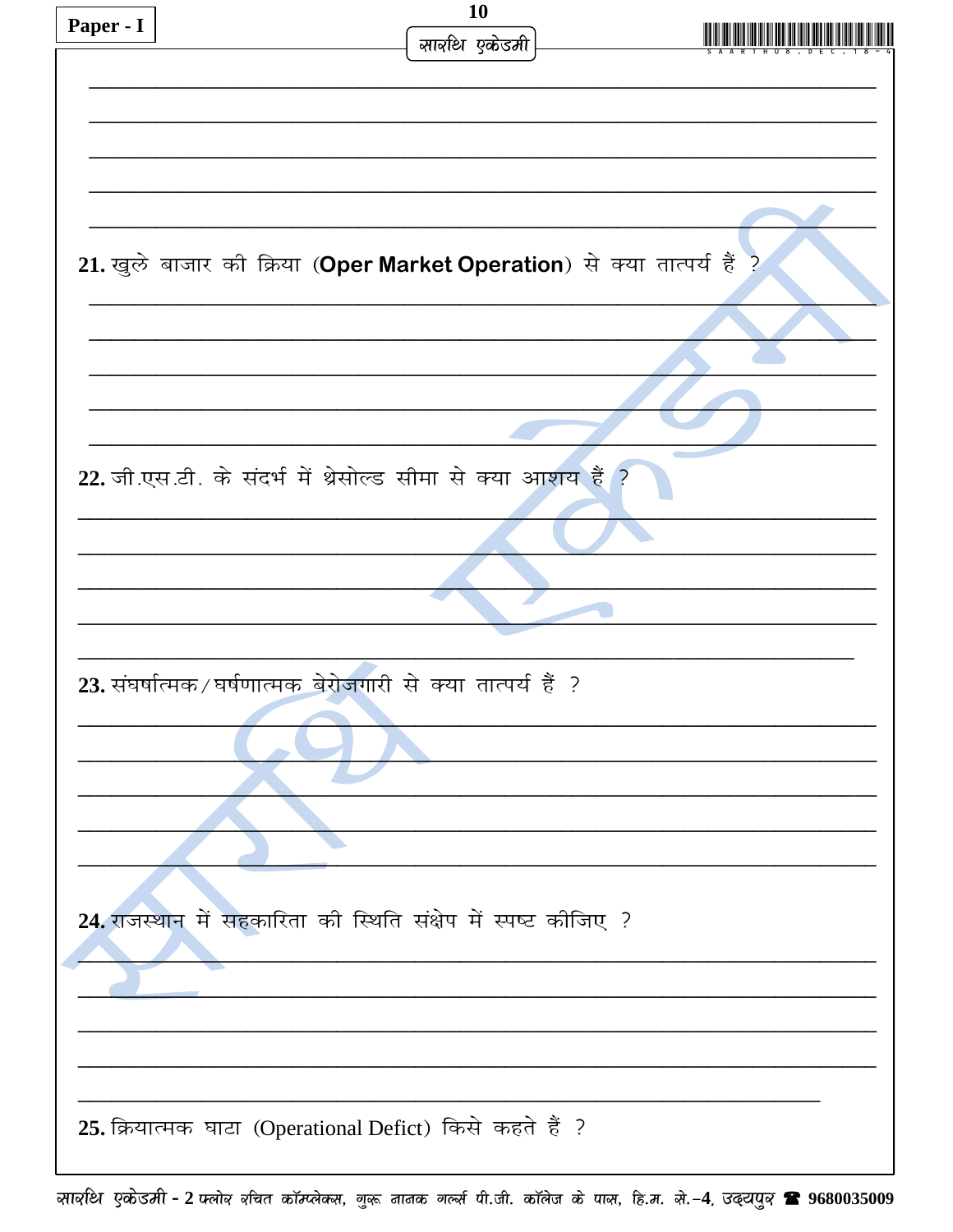| Paper - I | <b>10</b>                                                               |  |
|-----------|-------------------------------------------------------------------------|--|
|           | सार्वाथ एकेडमी                                                          |  |
|           |                                                                         |  |
|           |                                                                         |  |
|           |                                                                         |  |
|           |                                                                         |  |
|           |                                                                         |  |
|           |                                                                         |  |
|           |                                                                         |  |
|           |                                                                         |  |
|           | 21. खुले बाजार की क्रिया (Oper Market Operation) से क्या तात्पर्य हैं ? |  |
|           |                                                                         |  |
|           |                                                                         |  |
|           |                                                                         |  |
|           |                                                                         |  |
|           |                                                                         |  |
|           |                                                                         |  |
|           |                                                                         |  |
|           |                                                                         |  |
|           | 22. जी.एस.टी. के संदर्भ में थ्रेसोल्ड सीमा से क्या आशय हैं ?            |  |
|           |                                                                         |  |
|           |                                                                         |  |
|           |                                                                         |  |
|           |                                                                         |  |
|           |                                                                         |  |
|           |                                                                         |  |
|           |                                                                         |  |
|           |                                                                         |  |
|           | 23. संघर्षात्मक/घर्षणात्मक बेरोजगारी से क्या तात्पर्य हैं ?             |  |
|           |                                                                         |  |
|           |                                                                         |  |
|           |                                                                         |  |
|           |                                                                         |  |
|           |                                                                         |  |
|           |                                                                         |  |
|           |                                                                         |  |
|           |                                                                         |  |
|           |                                                                         |  |
|           | 24. राजस्थान में सहकारिता की स्थिति संक्षेप में स्पष्ट कीजिए ?          |  |
|           |                                                                         |  |
|           |                                                                         |  |
|           |                                                                         |  |
|           |                                                                         |  |
|           |                                                                         |  |
|           |                                                                         |  |
|           |                                                                         |  |
|           |                                                                         |  |
|           | 25. क्रियात्मक घाटा (Operational Defict) किसे कहते हैं ?                |  |
|           |                                                                         |  |
|           |                                                                         |  |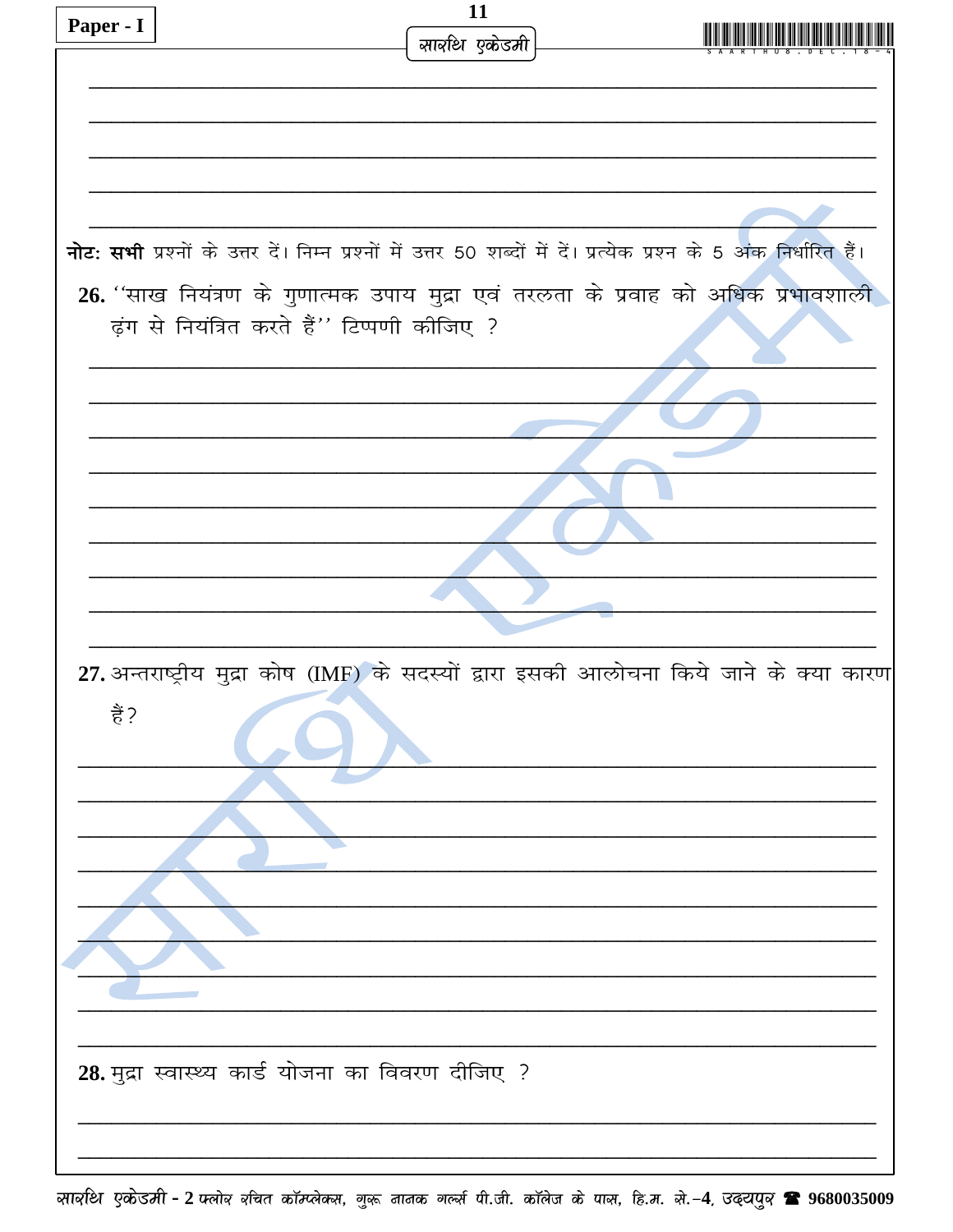|           | 11                                                                                                                  |
|-----------|---------------------------------------------------------------------------------------------------------------------|
| Paper - I | सार्वाथ एकेडमी                                                                                                      |
|           |                                                                                                                     |
|           |                                                                                                                     |
|           |                                                                                                                     |
|           |                                                                                                                     |
|           |                                                                                                                     |
|           |                                                                                                                     |
|           |                                                                                                                     |
|           | नोट: सभी प्रश्नों के उत्तर दें। निम्न प्रश्नों में उत्तर 50 शब्दों में दें। प्रत्येक प्रश्न के 5 अंक निर्धारित हैं। |
|           |                                                                                                                     |
|           | 26. 'साख नियंत्रण के गुणात्मक उपाय मुद्रा एवं तरलता के प्रवाह को अधिक प्रभावशाली                                    |
|           | ढ़ंग से नियंत्रित करते हैं" टिप्पणी कीजिए ?                                                                         |
|           |                                                                                                                     |
|           |                                                                                                                     |
|           |                                                                                                                     |
|           |                                                                                                                     |
|           |                                                                                                                     |
|           |                                                                                                                     |
|           |                                                                                                                     |
|           |                                                                                                                     |
|           |                                                                                                                     |
|           |                                                                                                                     |
|           |                                                                                                                     |
|           |                                                                                                                     |
|           |                                                                                                                     |
|           | 27. अन्तराष्ट्रीय मुद्रा कोष (IMF) के सदस्यों द्वारा इसकी आलोचना किये जाने के क्या कारण                             |
| हैं?      |                                                                                                                     |
|           |                                                                                                                     |
|           |                                                                                                                     |
|           |                                                                                                                     |
|           |                                                                                                                     |
|           |                                                                                                                     |
|           |                                                                                                                     |
|           |                                                                                                                     |
|           |                                                                                                                     |
|           |                                                                                                                     |
|           |                                                                                                                     |
|           |                                                                                                                     |
|           |                                                                                                                     |
|           |                                                                                                                     |
|           |                                                                                                                     |
|           | 28. मुद्रा स्वास्थ्य कार्ड योजना का विवरण दीजिए ?                                                                   |
|           |                                                                                                                     |
|           |                                                                                                                     |
|           |                                                                                                                     |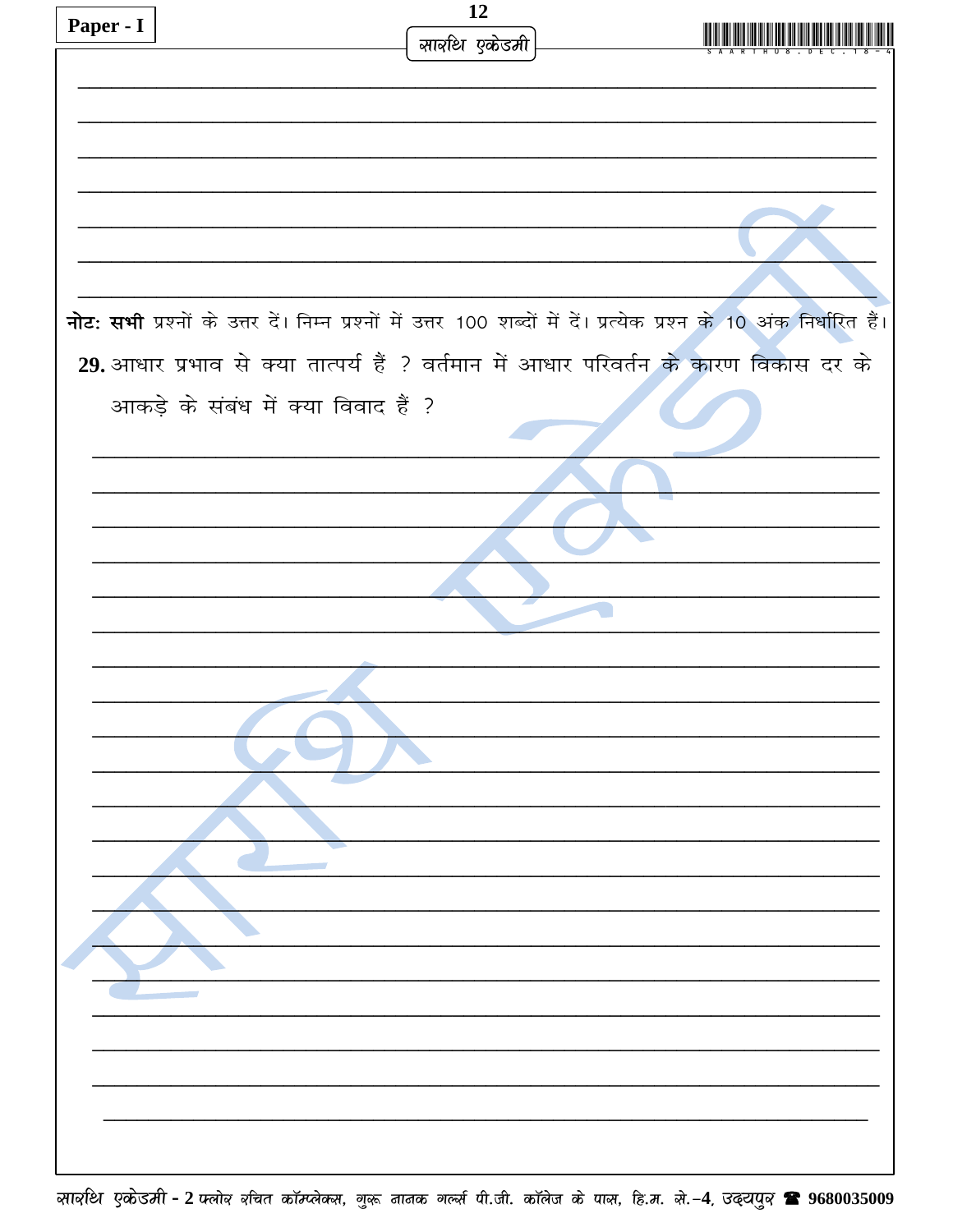| Paper - I |                                                                                                                       | 12             |  |
|-----------|-----------------------------------------------------------------------------------------------------------------------|----------------|--|
|           |                                                                                                                       | सार्वाथ एकेडमी |  |
|           |                                                                                                                       |                |  |
|           |                                                                                                                       |                |  |
|           |                                                                                                                       |                |  |
|           |                                                                                                                       |                |  |
|           |                                                                                                                       |                |  |
|           |                                                                                                                       |                |  |
|           |                                                                                                                       |                |  |
|           |                                                                                                                       |                |  |
|           |                                                                                                                       |                |  |
|           |                                                                                                                       |                |  |
|           | नोट: सभी प्रश्नों के उत्तर दें। निम्न प्रश्नों में उत्तर 100 शब्दों में दें। प्रत्येक प्रश्न के 10 अंक निर्धारित हैं। |                |  |
|           | 29. आधार प्रभाव से क्या तात्पर्य हैं ? वर्तमान में आधार परिवर्तन के कारण विकास दर के                                  |                |  |
|           |                                                                                                                       |                |  |
|           | आकड़े के संबंध में क्या विवाद हैं ?                                                                                   |                |  |
|           |                                                                                                                       |                |  |
|           |                                                                                                                       |                |  |
|           |                                                                                                                       |                |  |
|           |                                                                                                                       |                |  |
|           |                                                                                                                       |                |  |
|           |                                                                                                                       |                |  |
|           |                                                                                                                       |                |  |
|           |                                                                                                                       |                |  |
|           |                                                                                                                       |                |  |
|           |                                                                                                                       |                |  |
|           |                                                                                                                       |                |  |
|           |                                                                                                                       |                |  |
|           |                                                                                                                       |                |  |
|           |                                                                                                                       |                |  |
|           |                                                                                                                       |                |  |
|           |                                                                                                                       |                |  |
|           |                                                                                                                       |                |  |
|           |                                                                                                                       |                |  |
|           |                                                                                                                       |                |  |
|           |                                                                                                                       |                |  |
|           |                                                                                                                       |                |  |
|           |                                                                                                                       |                |  |
|           |                                                                                                                       |                |  |
|           |                                                                                                                       |                |  |
|           |                                                                                                                       |                |  |
|           |                                                                                                                       |                |  |
|           |                                                                                                                       |                |  |
|           |                                                                                                                       |                |  |
|           |                                                                                                                       |                |  |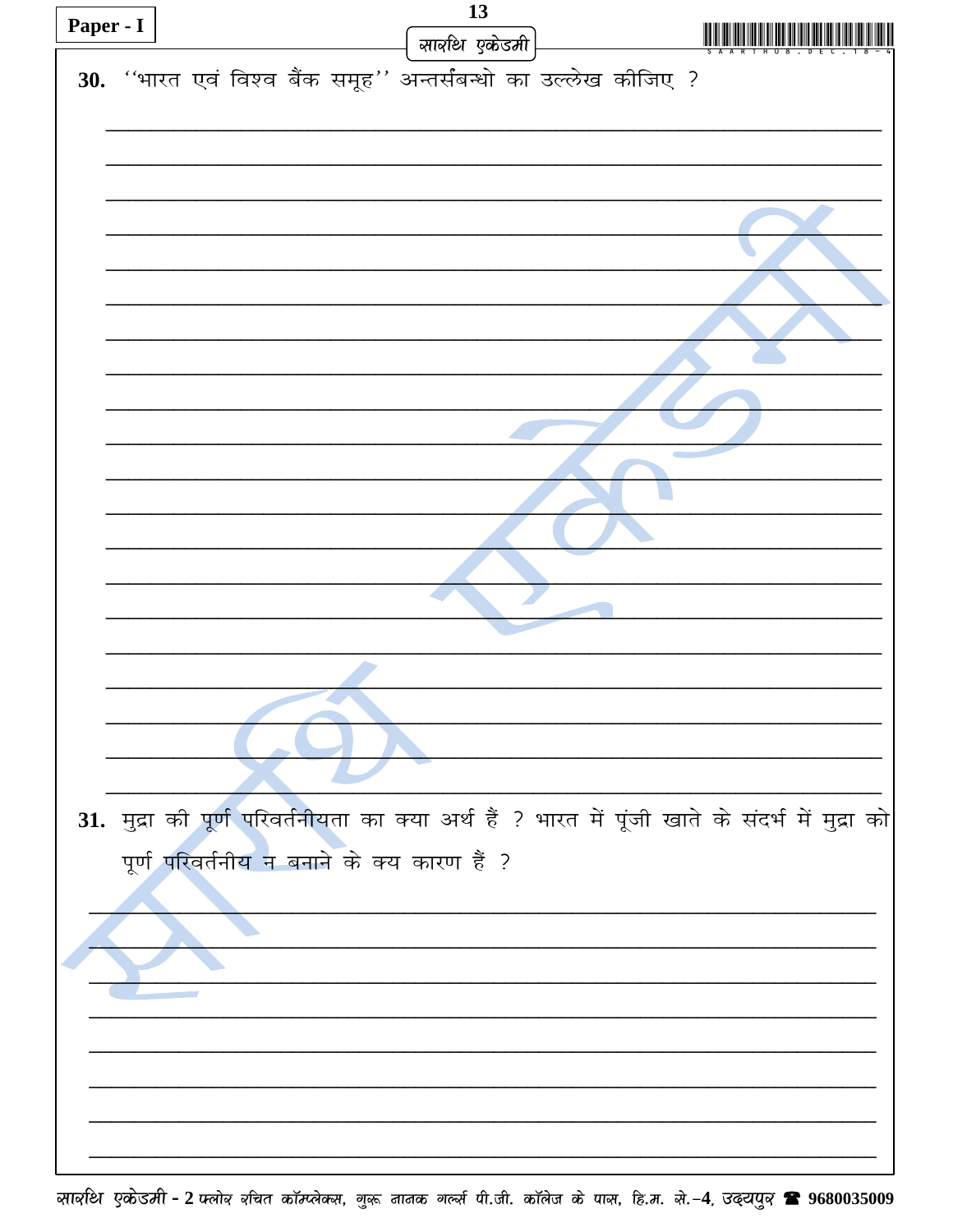| Paper - I |                                                                |  |  | 13           |  |                                                                                                 |  |  |
|-----------|----------------------------------------------------------------|--|--|--------------|--|-------------------------------------------------------------------------------------------------|--|--|
|           |                                                                |  |  | सावधि एकेडमी |  |                                                                                                 |  |  |
|           | 30. "भारत एवं विश्व बैंक समूह" अन्तर्संबन्धो का उल्लेख कीजिए ? |  |  |              |  |                                                                                                 |  |  |
|           |                                                                |  |  |              |  |                                                                                                 |  |  |
|           |                                                                |  |  |              |  |                                                                                                 |  |  |
|           |                                                                |  |  |              |  |                                                                                                 |  |  |
|           |                                                                |  |  |              |  |                                                                                                 |  |  |
|           |                                                                |  |  |              |  |                                                                                                 |  |  |
|           |                                                                |  |  |              |  |                                                                                                 |  |  |
|           |                                                                |  |  |              |  |                                                                                                 |  |  |
|           |                                                                |  |  |              |  |                                                                                                 |  |  |
|           |                                                                |  |  |              |  |                                                                                                 |  |  |
|           |                                                                |  |  |              |  |                                                                                                 |  |  |
|           |                                                                |  |  |              |  |                                                                                                 |  |  |
|           |                                                                |  |  |              |  |                                                                                                 |  |  |
|           |                                                                |  |  |              |  |                                                                                                 |  |  |
|           |                                                                |  |  |              |  |                                                                                                 |  |  |
|           |                                                                |  |  |              |  |                                                                                                 |  |  |
|           |                                                                |  |  |              |  |                                                                                                 |  |  |
|           |                                                                |  |  |              |  |                                                                                                 |  |  |
|           |                                                                |  |  |              |  |                                                                                                 |  |  |
|           |                                                                |  |  |              |  |                                                                                                 |  |  |
|           |                                                                |  |  |              |  |                                                                                                 |  |  |
|           |                                                                |  |  |              |  |                                                                                                 |  |  |
|           |                                                                |  |  |              |  | 31. मुद्रा की पूर्ण परिवर्तनीयता का क्या अर्थ हैं ? भारत में पूंजी खाते के संदर्भ में मुद्रा को |  |  |
|           | पूर्ण परिवर्तनीय न बनाने के क्य कारण हैं ?                     |  |  |              |  |                                                                                                 |  |  |
|           |                                                                |  |  |              |  |                                                                                                 |  |  |
|           |                                                                |  |  |              |  |                                                                                                 |  |  |
|           |                                                                |  |  |              |  |                                                                                                 |  |  |
|           |                                                                |  |  |              |  |                                                                                                 |  |  |
|           |                                                                |  |  |              |  |                                                                                                 |  |  |
|           |                                                                |  |  |              |  |                                                                                                 |  |  |
|           |                                                                |  |  |              |  |                                                                                                 |  |  |
|           |                                                                |  |  |              |  |                                                                                                 |  |  |
|           |                                                                |  |  |              |  |                                                                                                 |  |  |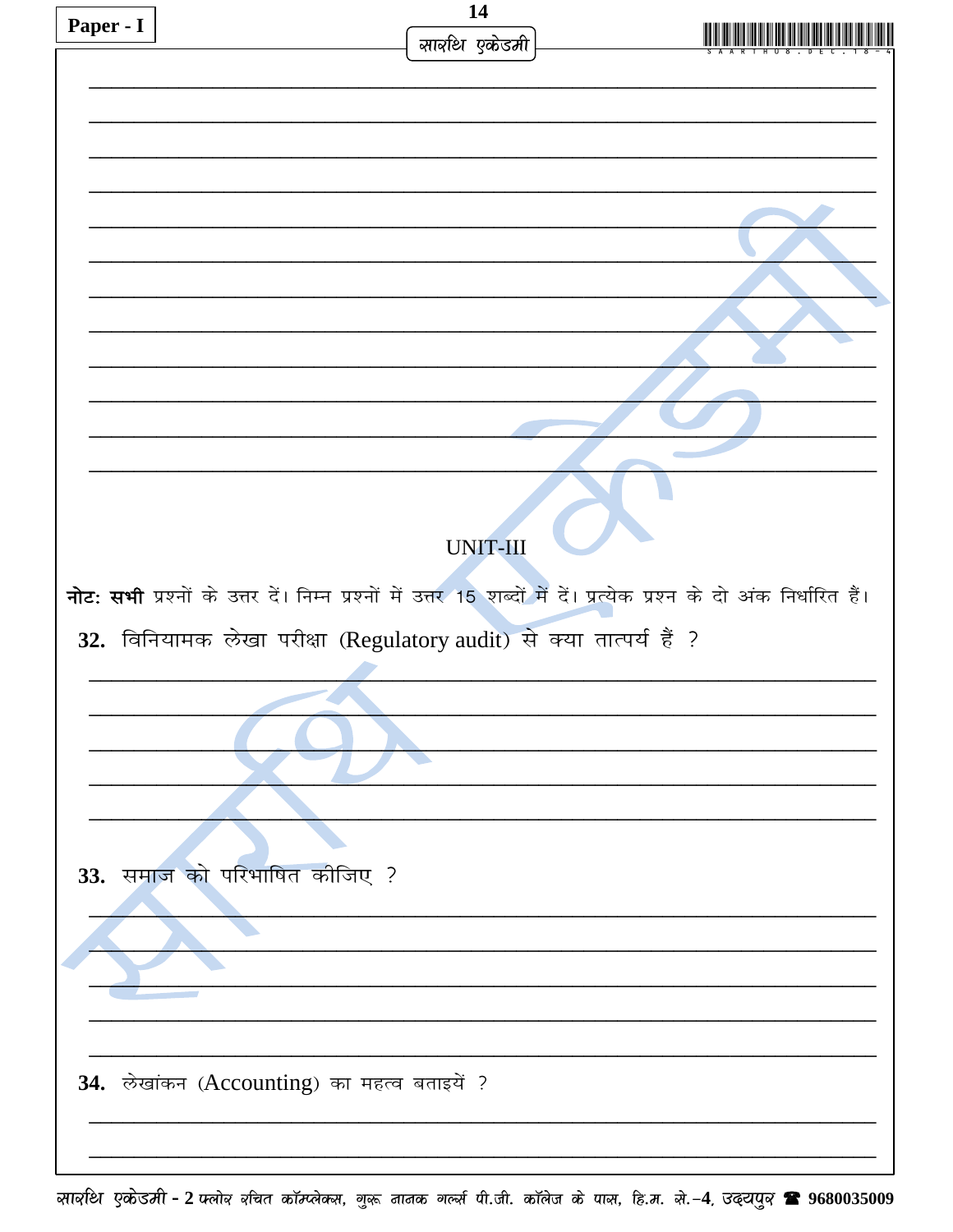|           |                                                                             | 14              |                                                                                                                      |
|-----------|-----------------------------------------------------------------------------|-----------------|----------------------------------------------------------------------------------------------------------------------|
| Paper - I |                                                                             | सार्वाथ एकेडमी  |                                                                                                                      |
|           |                                                                             |                 |                                                                                                                      |
|           |                                                                             |                 |                                                                                                                      |
|           |                                                                             |                 |                                                                                                                      |
|           |                                                                             |                 |                                                                                                                      |
|           |                                                                             |                 |                                                                                                                      |
|           |                                                                             |                 |                                                                                                                      |
|           |                                                                             |                 |                                                                                                                      |
|           |                                                                             |                 |                                                                                                                      |
|           |                                                                             |                 |                                                                                                                      |
|           |                                                                             |                 |                                                                                                                      |
|           |                                                                             |                 |                                                                                                                      |
|           |                                                                             |                 |                                                                                                                      |
|           |                                                                             |                 |                                                                                                                      |
|           |                                                                             |                 |                                                                                                                      |
|           |                                                                             |                 |                                                                                                                      |
|           |                                                                             |                 |                                                                                                                      |
|           |                                                                             |                 |                                                                                                                      |
|           |                                                                             | <b>UNIT-III</b> |                                                                                                                      |
|           |                                                                             |                 |                                                                                                                      |
|           |                                                                             |                 | नोट: सभी प्रश्नों के उत्तर दें। निम्न प्रश्नों में उत्तर 15 शब्दों में दें। प्रत्येक प्रश्न के दो अंक निर्धारित हैं। |
|           |                                                                             |                 |                                                                                                                      |
|           | 32. विनियामक लेखा परीक्षा (Regulatory audit) से क्या तात्पर्य हैं ?         |                 |                                                                                                                      |
|           |                                                                             |                 |                                                                                                                      |
|           |                                                                             |                 |                                                                                                                      |
|           |                                                                             |                 |                                                                                                                      |
|           |                                                                             |                 |                                                                                                                      |
|           |                                                                             |                 |                                                                                                                      |
|           |                                                                             |                 |                                                                                                                      |
|           |                                                                             |                 |                                                                                                                      |
|           |                                                                             |                 |                                                                                                                      |
|           |                                                                             |                 |                                                                                                                      |
|           |                                                                             |                 |                                                                                                                      |
|           |                                                                             |                 |                                                                                                                      |
|           |                                                                             |                 |                                                                                                                      |
|           |                                                                             |                 |                                                                                                                      |
|           |                                                                             |                 |                                                                                                                      |
|           |                                                                             |                 |                                                                                                                      |
|           |                                                                             |                 |                                                                                                                      |
|           |                                                                             |                 |                                                                                                                      |
|           |                                                                             |                 |                                                                                                                      |
|           | 33. समाज को परिभाषित कीजिए ?<br>34. लेखांकन (Accounting) का महत्व बताइयें ? |                 |                                                                                                                      |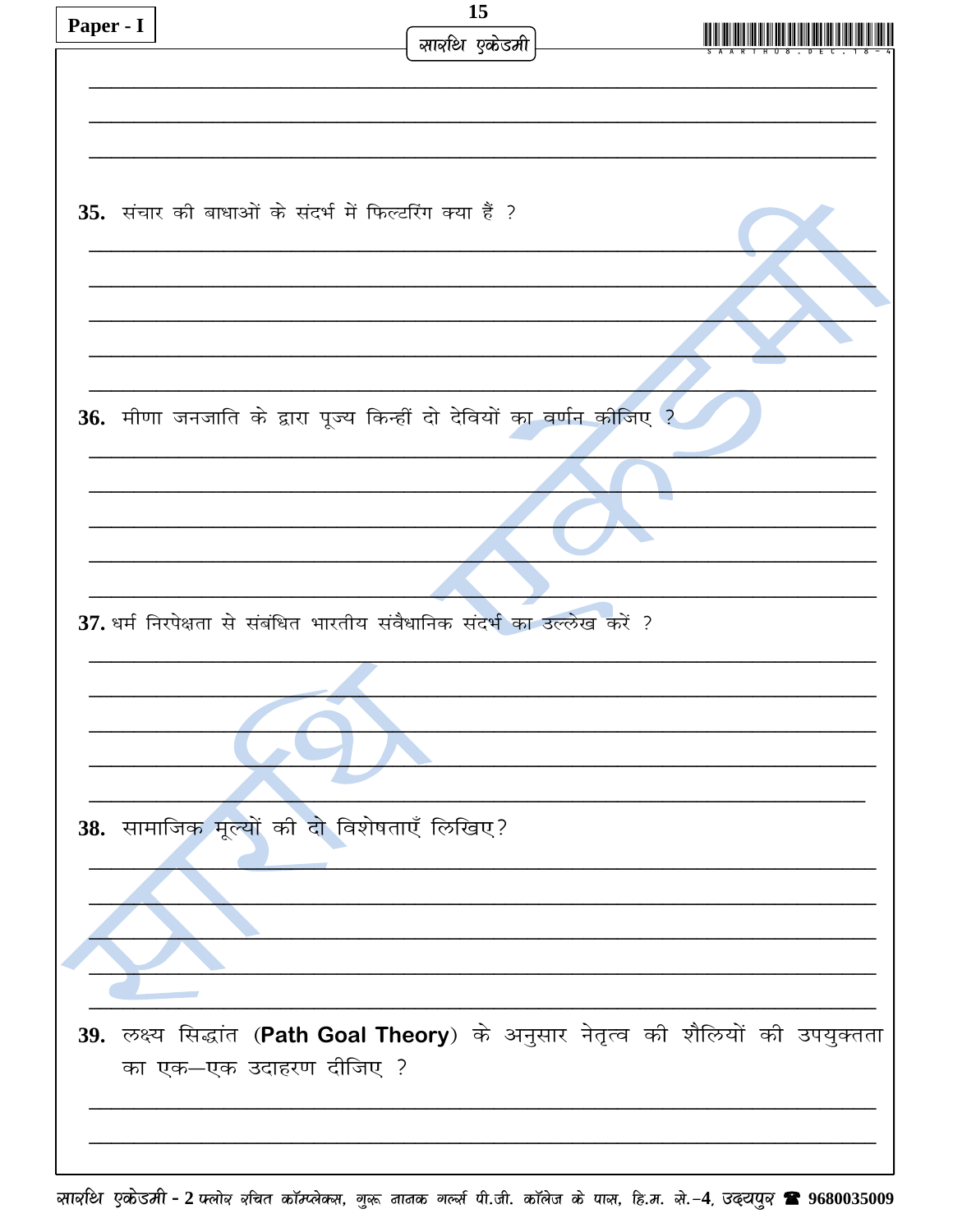| Paper - I |                                                                                  | 15             |  |
|-----------|----------------------------------------------------------------------------------|----------------|--|
|           |                                                                                  | सार्वाथ एकेडमी |  |
|           |                                                                                  |                |  |
|           |                                                                                  |                |  |
|           |                                                                                  |                |  |
|           |                                                                                  |                |  |
|           | 35. संचार की बाधाओं के संदर्भ में फिल्टरिंग क्या हैं ?                           |                |  |
|           |                                                                                  |                |  |
|           |                                                                                  |                |  |
|           |                                                                                  |                |  |
|           |                                                                                  |                |  |
|           |                                                                                  |                |  |
|           |                                                                                  |                |  |
|           | 36. मीणा जनजाति के द्वारा पूज्य किन्हीं दो देवियों का वर्णन कीजिए ?              |                |  |
|           |                                                                                  |                |  |
|           |                                                                                  |                |  |
|           |                                                                                  |                |  |
|           |                                                                                  |                |  |
|           |                                                                                  |                |  |
|           |                                                                                  |                |  |
|           | 37. धर्म निरपेक्षता से संबंधित भारतीय संवैधानिक संदर्भ का उल्लेख करें ?          |                |  |
|           |                                                                                  |                |  |
|           |                                                                                  |                |  |
|           |                                                                                  |                |  |
|           |                                                                                  |                |  |
|           |                                                                                  |                |  |
|           |                                                                                  |                |  |
|           | 38. सामाजिक मूल्यों की दो विशेषताएँ लिखिए?                                       |                |  |
|           |                                                                                  |                |  |
|           |                                                                                  |                |  |
|           |                                                                                  |                |  |
|           |                                                                                  |                |  |
|           |                                                                                  |                |  |
|           |                                                                                  |                |  |
|           | 39. लक्ष्य सिद्धांत (Path Goal Theory) के अनुसार नेतृत्व की शैलियों की उपयुक्तता |                |  |
|           | का एक-एक उदाहरण दीजिए ?                                                          |                |  |
|           |                                                                                  |                |  |
|           |                                                                                  |                |  |
|           |                                                                                  |                |  |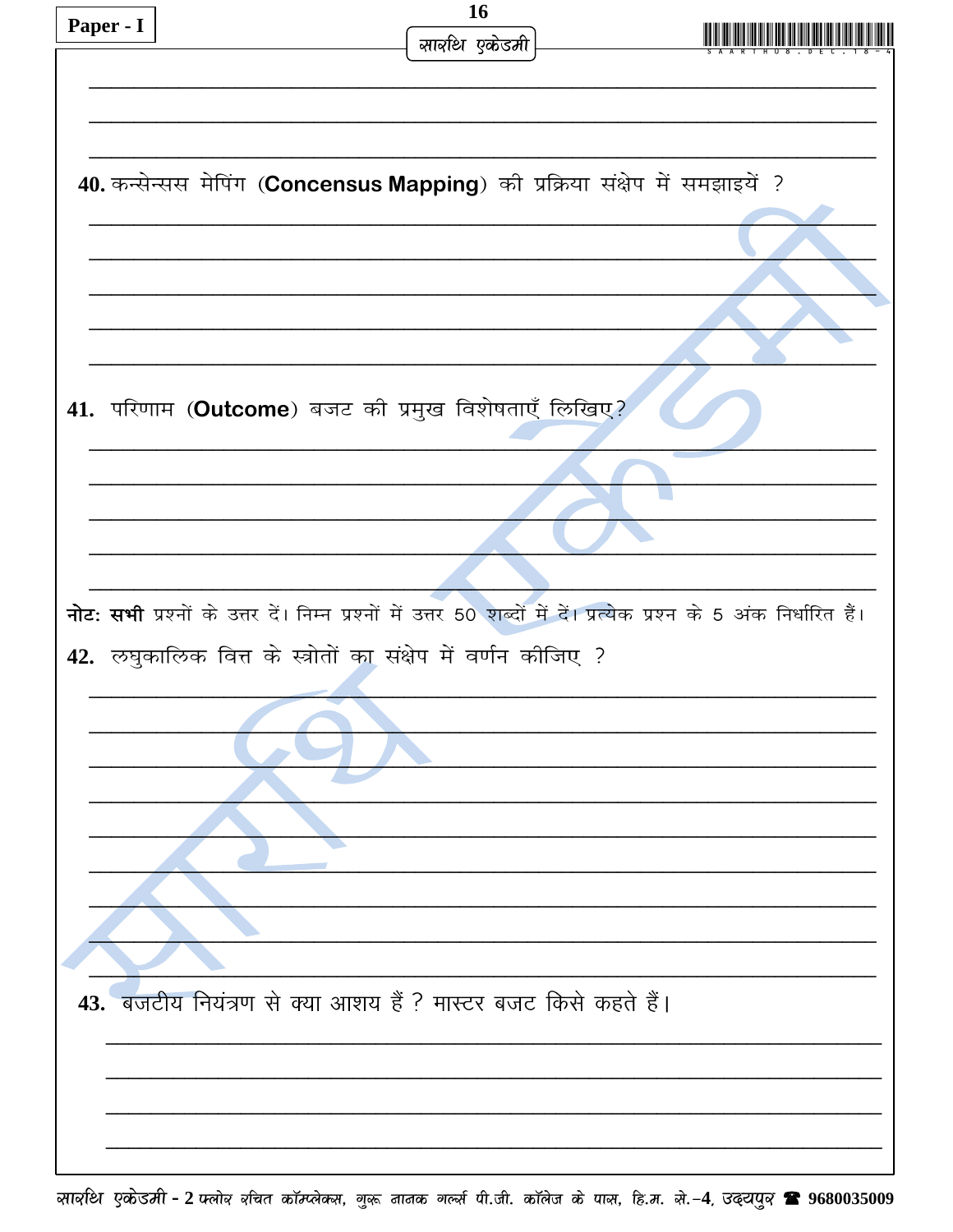| Paper - I                                           | 16                                                                                                                  |  |  |  |
|-----------------------------------------------------|---------------------------------------------------------------------------------------------------------------------|--|--|--|
|                                                     | सार्वाथ एकेडमी                                                                                                      |  |  |  |
|                                                     |                                                                                                                     |  |  |  |
|                                                     |                                                                                                                     |  |  |  |
|                                                     |                                                                                                                     |  |  |  |
|                                                     | 40. कन्सेन्सस मेपिंग (Concensus Mapping) की प्रक्रिया संक्षेप में समझाइयें ?                                        |  |  |  |
|                                                     |                                                                                                                     |  |  |  |
|                                                     |                                                                                                                     |  |  |  |
|                                                     |                                                                                                                     |  |  |  |
|                                                     |                                                                                                                     |  |  |  |
|                                                     |                                                                                                                     |  |  |  |
| 41. परिणाम (Outcome) बजट की प्रमुख विशेषताएँ लिखिए? |                                                                                                                     |  |  |  |
|                                                     |                                                                                                                     |  |  |  |
|                                                     |                                                                                                                     |  |  |  |
|                                                     |                                                                                                                     |  |  |  |
|                                                     |                                                                                                                     |  |  |  |
|                                                     |                                                                                                                     |  |  |  |
|                                                     | नोट: सभी प्रश्नों के उत्तर दें। निम्न प्रश्नों में उत्तर 50 शब्दों में दें। प्रत्येक प्रश्न के 5 अंक निर्धारित हैं। |  |  |  |
|                                                     | 42. लघुकालिक वित्त के स्त्रोतों का संक्षेप में वर्णन कीजिए ?                                                        |  |  |  |
|                                                     |                                                                                                                     |  |  |  |
|                                                     |                                                                                                                     |  |  |  |
|                                                     |                                                                                                                     |  |  |  |
|                                                     |                                                                                                                     |  |  |  |
|                                                     |                                                                                                                     |  |  |  |
|                                                     |                                                                                                                     |  |  |  |
|                                                     |                                                                                                                     |  |  |  |
|                                                     |                                                                                                                     |  |  |  |
|                                                     |                                                                                                                     |  |  |  |
|                                                     | 43. बजटीय नियंत्रण से क्या आशय हैं ? मास्टर बजट किसे कहते हैं।                                                      |  |  |  |
|                                                     |                                                                                                                     |  |  |  |
|                                                     |                                                                                                                     |  |  |  |
|                                                     |                                                                                                                     |  |  |  |
|                                                     |                                                                                                                     |  |  |  |
|                                                     |                                                                                                                     |  |  |  |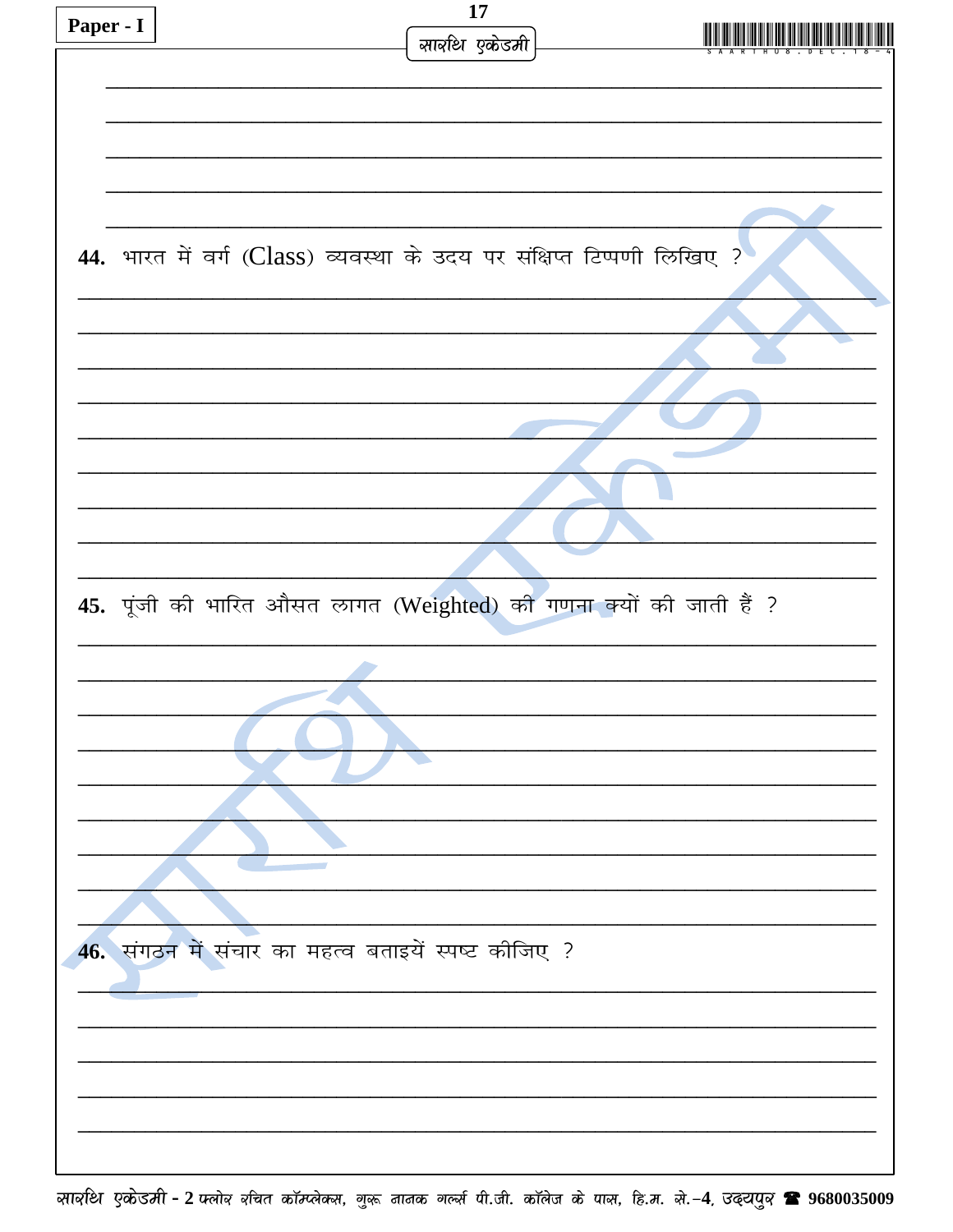| Paper - I | 17                                                                     |  |
|-----------|------------------------------------------------------------------------|--|
|           | सार्वाथ एकेडमी                                                         |  |
|           |                                                                        |  |
|           |                                                                        |  |
|           |                                                                        |  |
|           |                                                                        |  |
|           |                                                                        |  |
|           |                                                                        |  |
|           |                                                                        |  |
|           | 44. भारत में वर्ग (Class) व्यवस्था के उदय पर संक्षिप्त टिप्पणी लिखिए ? |  |
|           |                                                                        |  |
|           |                                                                        |  |
|           |                                                                        |  |
|           |                                                                        |  |
|           |                                                                        |  |
|           |                                                                        |  |
|           |                                                                        |  |
|           |                                                                        |  |
|           |                                                                        |  |
|           |                                                                        |  |
|           |                                                                        |  |
|           |                                                                        |  |
|           |                                                                        |  |
|           | 45. पूंजी की भारित औसत लागत (Weighted) की गणना क्यों की जाती हैं ?     |  |
|           |                                                                        |  |
|           |                                                                        |  |
|           |                                                                        |  |
|           |                                                                        |  |
|           |                                                                        |  |
|           |                                                                        |  |
|           |                                                                        |  |
|           |                                                                        |  |
|           |                                                                        |  |
|           |                                                                        |  |
|           |                                                                        |  |
|           |                                                                        |  |
|           | 46. संगठन में संचार का महत्व बताइयें स्पष्ट कीजिए ?                    |  |
|           |                                                                        |  |
|           |                                                                        |  |
|           |                                                                        |  |
|           |                                                                        |  |
|           |                                                                        |  |
|           |                                                                        |  |
|           |                                                                        |  |
|           |                                                                        |  |